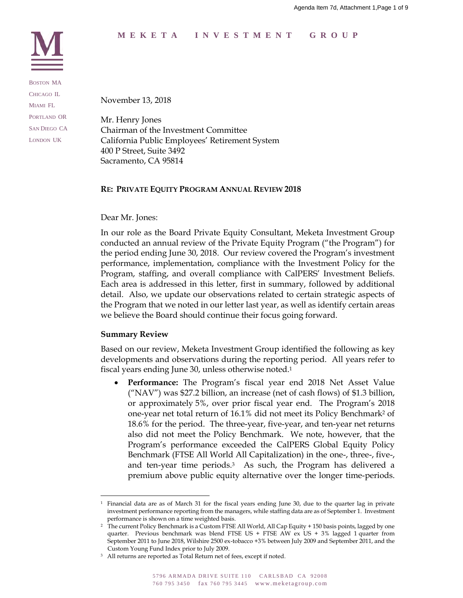# **MEKETA I NVESTMENT GROUP**



BOSTON MA CHICAGO IL MIAMI FL PORTLAND OR SAN DIEGO CA LONDON UK

November 13, 2018

Mr. Henry Jones Chairman of the Investment Committee California Public Employees' Retirement System 400 P Street, Suite 3492 Sacramento, CA 95814

## **RE: PRIVATE EQUITY PROGRAM ANNUAL REVIEW 2018**

## Dear Mr. Jones:

In our role as the Board Private Equity Consultant, Meketa Investment Group conducted an annual review of the Private Equity Program ("the Program") for the period ending June 30, 2018. Our review covered the Program's investment performance, implementation, compliance with the Investment Policy for the Program, staffing, and overall compliance with CalPERS' Investment Beliefs. Each area is addressed in this letter, first in summary, followed by additional detail. Also, we update our observations related to certain strategic aspects of the Program that we noted in our letter last year, as well as identify certain areas we believe the Board should continue their focus going forward.

#### **Summary Review**

Based on our review, Meketa Investment Group identified the following as key developments and observations during the reporting period. All years refer to fiscal years ending June 30, unless otherwise noted. 1

 **Performance:** The Program's fiscal year end 2018 Net Asset Value ("NAV") was \$27.2 billion, an increase (net of cash flows) of \$1.3 billion, or approximately 5%, over prior fiscal year end. The Program's 2018 one-year net total return of 16.1% did not meet its Policy Benchmark<sup>2</sup> of 18.6% for the period. The three-year, five-year, and ten-year net returns also did not meet the Policy Benchmark. We note, however, that the Program's performance exceeded the CalPERS Global Equity Policy Benchmark (FTSE All World All Capitalization) in the one-, three-, five-, and ten-year time periods. <sup>3</sup> As such, the Program has delivered a premium above public equity alternative over the longer time-periods.

<sup>1</sup> Financial data are as of March 31 for the fiscal years ending June 30, due to the quarter lag in private investment performance reporting from the managers, while staffing data are as of September 1. Investment performance is shown on a time weighted basis.

<sup>2</sup> The current Policy Benchmark is a Custom FTSE All World, All Cap Equity + 150 basis points, lagged by one quarter. Previous benchmark was blend FTSE US + FTSE AW ex US + 3% lagged 1 quarter from September 2011 to June 2018, Wilshire 2500 ex-tobacco +3% between July 2009 and September 2011, and the Custom Young Fund Index prior to July 2009.

<sup>&</sup>lt;sup>3</sup> All returns are reported as Total Return net of fees, except if noted.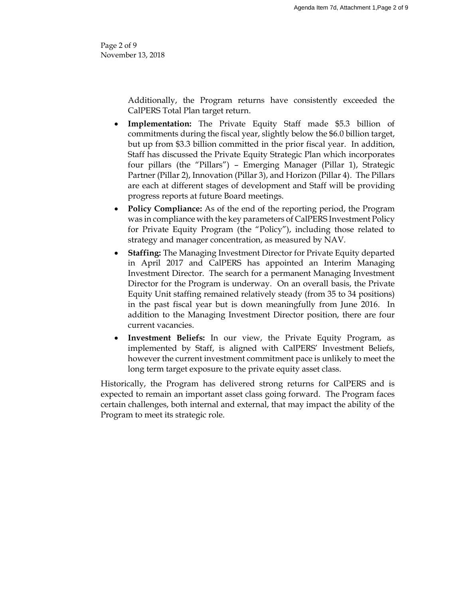Page 2 of 9 November 13, 2018

> Additionally, the Program returns have consistently exceeded the CalPERS Total Plan target return.

- **Implementation:** The Private Equity Staff made \$5.3 billion of commitments during the fiscal year, slightly below the \$6.0 billion target, but up from \$3.3 billion committed in the prior fiscal year. In addition, Staff has discussed the Private Equity Strategic Plan which incorporates four pillars (the "Pillars") – Emerging Manager (Pillar 1), Strategic Partner (Pillar 2), Innovation (Pillar 3), and Horizon (Pillar 4). The Pillars are each at different stages of development and Staff will be providing progress reports at future Board meetings.
- **Policy Compliance:** As of the end of the reporting period, the Program was in compliance with the key parameters of CalPERS Investment Policy for Private Equity Program (the "Policy"), including those related to strategy and manager concentration, as measured by NAV.
- **Staffing:** The Managing Investment Director for Private Equity departed in April 2017 and CalPERS has appointed an Interim Managing Investment Director. The search for a permanent Managing Investment Director for the Program is underway. On an overall basis, the Private Equity Unit staffing remained relatively steady (from 35 to 34 positions) in the past fiscal year but is down meaningfully from June 2016. In addition to the Managing Investment Director position, there are four current vacancies.
- **Investment Beliefs:** In our view, the Private Equity Program, as implemented by Staff, is aligned with CalPERS' Investment Beliefs, however the current investment commitment pace is unlikely to meet the long term target exposure to the private equity asset class.

Historically, the Program has delivered strong returns for CalPERS and is expected to remain an important asset class going forward. The Program faces certain challenges, both internal and external, that may impact the ability of the Program to meet its strategic role.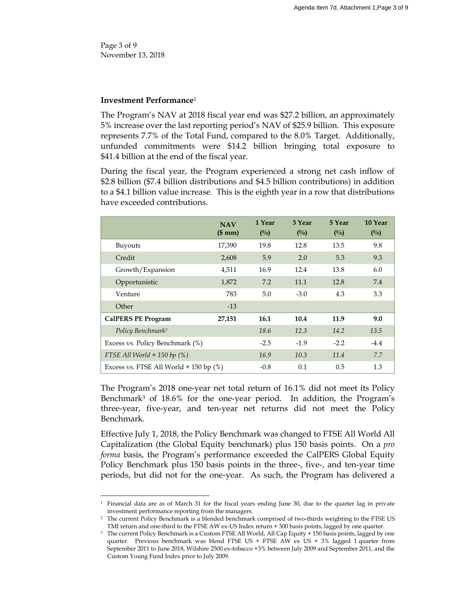Page 3 of 9 November 13, 2018

 $\overline{a}$ 

## **Investment Performance**<sup>1</sup>

The Program's NAV at 2018 fiscal year end was \$27.2 billion, an approximately 5% increase over the last reporting period's NAV of \$25.9 billion. This exposure represents 7.7% of the Total Fund, compared to the 8.0% Target. Additionally, unfunded commitments were \$14.2 billion bringing total exposure to \$41.4 billion at the end of the fiscal year.

During the fiscal year, the Program experienced a strong net cash inflow of \$2.8 billion (\$7.4 billion distributions and \$4.5 billion contributions) in addition to a \$4.1 billion value increase. This is the eighth year in a row that distributions have exceeded contributions.

|                                             | <b>NAV</b> | 1 Year | 3 Year | 5 Year | 10 Year       |
|---------------------------------------------|------------|--------|--------|--------|---------------|
|                                             | (\$mm)     | $($ %) | (0/0)  | (0/0)  | $(^{0}/_{0})$ |
| <b>Buyouts</b>                              | 17,390     | 19.8   | 12.8   | 13.5   | 9.8           |
| Credit                                      | 2,608      | 5.9    | 2.0    | 5.3    | 9.3           |
| Growth/Expansion                            | 4,511      | 16.9   | 12.4   | 13.8   | 6.0           |
| Opportunistic                               | 1,872      | 7.2    | 11.1   | 12.8   | 7.4           |
| Venture                                     | 783        | 5.0    | $-3.0$ | 4.3    | 3.3           |
| Other                                       | $-13$      |        |        |        |               |
| <b>CalPERS PE Program</b>                   | 27,151     | 16.1   | 10.4   | 11.9   | 9.0           |
| Policy Benchmark <sup>2</sup>               |            | 18.6   | 12.3   | 14.2   | 13.5          |
| Excess vs. Policy Benchmark (%)             |            | $-2.5$ | $-1.9$ | $-2.2$ | $-4.4$        |
| FTSE All World $+$ 150 bp (%)               |            | 16.9   | 10.3   | 11.4   | 7.7           |
| Excess vs. FTSE All World $+$ 150 bp $(\%)$ |            | $-0.8$ | 0.1    | 0.5    | 1.3           |

The Program's 2018 one-year net total return of 16.1% did not meet its Policy Benchmark<sup>3</sup> of 18.6% for the one-year period. In addition, the Program's three-year, five-year, and ten-year net returns did not meet the Policy Benchmark.

Effective July 1, 2018, the Policy Benchmark was changed to FTSE All World All Capitalization (the Global Equity benchmark) plus 150 basis points. On a *pro forma* basis, the Program's performance exceeded the CalPERS Global Equity Policy Benchmark plus 150 basis points in the three-, five-, and ten-year time periods, but did not for the one-year. As such, the Program has delivered a

<sup>1</sup> Financial data are as of March 31 for the fiscal years ending June 30, due to the quarter lag in private investment performance reporting from the managers.

<sup>2</sup> The current Policy Benchmark is a blended benchmark comprised of two-thirds weighting to the FTSE US TMI return and one-third to the FTSE AW ex-US Index return + 300 basis points, lagged by one quarter.

<sup>3</sup> The current Policy Benchmark is a Custom FTSE All World, All Cap Equity + 150 basis points, lagged by one quarter. Previous benchmark was blend FTSE US + FTSE  $\overrightarrow{AW}$  ex US + 3% lagged 1 quarter from September 2011 to June 2018, Wilshire 2500 ex-tobacco +3% between July 2009 and September 2011, and the Custom Young Fund Index prior to July 2009.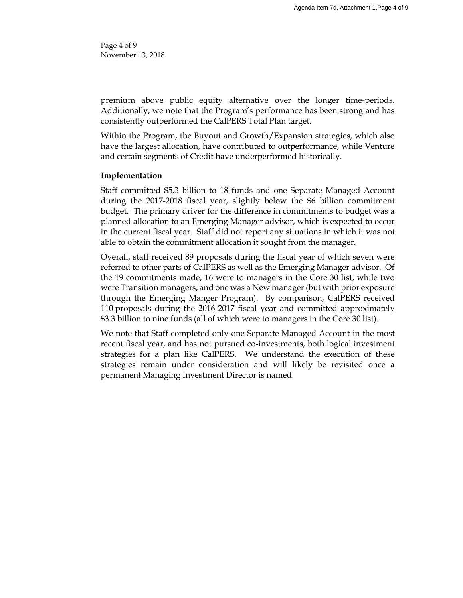Page 4 of 9 November 13, 2018

premium above public equity alternative over the longer time-periods. Additionally, we note that the Program's performance has been strong and has consistently outperformed the CalPERS Total Plan target.

Within the Program, the Buyout and Growth/Expansion strategies, which also have the largest allocation, have contributed to outperformance, while Venture and certain segments of Credit have underperformed historically.

## **Implementation**

Staff committed \$5.3 billion to 18 funds and one Separate Managed Account during the 2017-2018 fiscal year, slightly below the \$6 billion commitment budget. The primary driver for the difference in commitments to budget was a planned allocation to an Emerging Manager advisor, which is expected to occur in the current fiscal year. Staff did not report any situations in which it was not able to obtain the commitment allocation it sought from the manager.

Overall, staff received 89 proposals during the fiscal year of which seven were referred to other parts of CalPERS as well as the Emerging Manager advisor. Of the 19 commitments made, 16 were to managers in the Core 30 list, while two were Transition managers, and one was a New manager (but with prior exposure through the Emerging Manger Program). By comparison, CalPERS received 110 proposals during the 2016-2017 fiscal year and committed approximately \$3.3 billion to nine funds (all of which were to managers in the Core 30 list).

We note that Staff completed only one Separate Managed Account in the most recent fiscal year, and has not pursued co-investments, both logical investment strategies for a plan like CalPERS. We understand the execution of these strategies remain under consideration and will likely be revisited once a permanent Managing Investment Director is named.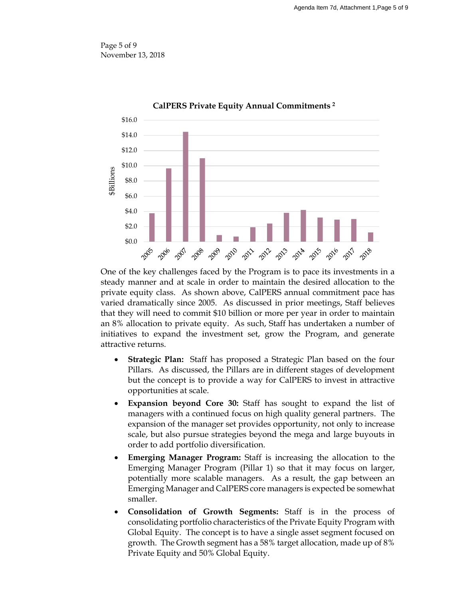Page 5 of 9 November 13, 2018



One of the key challenges faced by the Program is to pace its investments in a steady manner and at scale in order to maintain the desired allocation to the private equity class. As shown above, CalPERS annual commitment pace has varied dramatically since 2005. As discussed in prior meetings, Staff believes that they will need to commit \$10 billion or more per year in order to maintain an 8% allocation to private equity. As such, Staff has undertaken a number of initiatives to expand the investment set, grow the Program, and generate attractive returns.

- **Strategic Plan:** Staff has proposed a Strategic Plan based on the four Pillars. As discussed, the Pillars are in different stages of development but the concept is to provide a way for CalPERS to invest in attractive opportunities at scale.
- **Expansion beyond Core 30:** Staff has sought to expand the list of managers with a continued focus on high quality general partners. The expansion of the manager set provides opportunity, not only to increase scale, but also pursue strategies beyond the mega and large buyouts in order to add portfolio diversification.
- **Emerging Manager Program:** Staff is increasing the allocation to the Emerging Manager Program (Pillar 1) so that it may focus on larger, potentially more scalable managers. As a result, the gap between an Emerging Manager and CalPERS core managers is expected be somewhat smaller.
- **Consolidation of Growth Segments:** Staff is in the process of consolidating portfolio characteristics of the Private Equity Program with Global Equity. The concept is to have a single asset segment focused on growth. The Growth segment has a 58% target allocation, made up of 8% Private Equity and 50% Global Equity.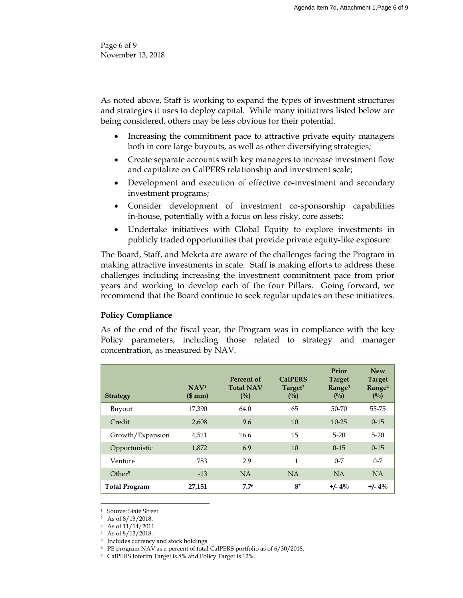Page 6 of 9 November 13, 2018

As noted above, Staff is working to expand the types of investment structures and strategies it uses to deploy capital. While many initiatives listed below are being considered, others may be less obvious for their potential.

- Increasing the commitment pace to attractive private equity managers both in core large buyouts, as well as other diversifying strategies;
- Create separate accounts with key managers to increase investment flow and capitalize on CalPERS relationship and investment scale;
- Development and execution of effective co-investment and secondary investment programs;
- Consider development of investment co-sponsorship capabilities in-house, potentially with a focus on less risky, core assets;
- Undertake initiatives with Global Equity to explore investments in publicly traded opportunities that provide private equity-like exposure.

The Board, Staff, and Meketa are aware of the challenges facing the Program in making attractive investments in scale. Staff is making efforts to address these challenges including increasing the investment commitment pace from prior years and working to develop each of the four Pillars. Going forward, we recommend that the Board continue to seek regular updates on these initiatives.

# **Policy Compliance**

As of the end of the fiscal year, the Program was in compliance with the key Policy parameters, including those related to strategy and manager concentration, as measured by NAV.

| <b>Strategy</b>      | NAV <sup>1</sup><br>\$mm) | Percent of<br><b>Total NAV</b><br>$(^{0}/_{0})$ | <b>CalPERS</b><br>Target <sup>2</sup><br>$($ %) | Prior<br><b>Target</b><br>Range <sup>3</sup><br>(0/0) | <b>New</b><br><b>Target</b><br>Range <sup>4</sup><br>$($ %) |
|----------------------|---------------------------|-------------------------------------------------|-------------------------------------------------|-------------------------------------------------------|-------------------------------------------------------------|
| Buyout               | 17,390                    | 64.0                                            | 65                                              | 50-70                                                 | 55-75                                                       |
| Credit               | 2,608                     | 9.6                                             | 10                                              | $10 - 25$                                             | $0 - 15$                                                    |
| Growth/Expansion     | 4,511                     | 16.6                                            | 15                                              | $5 - 20$                                              | $5 - 20$                                                    |
| Opportunistic        | 1,872                     | 6.9                                             | 10                                              | $0 - 15$                                              | $0 - 15$                                                    |
| Venture              | 783                       | 2.9                                             | $\mathbf{1}$                                    | $0 - 7$                                               | $0 - 7$                                                     |
| Other <sup>5</sup>   | $-13$                     | NA                                              | NA                                              | NA                                                    | <b>NA</b>                                                   |
| <b>Total Program</b> | 27,151                    | 7.76                                            | 87                                              | $+/- 4\%$                                             | $+/- 4\%$                                                   |

<sup>1</sup> Source: State Street.

 $\overline{a}$ 

<sup>3</sup> As of 11/14/2011.

<sup>4</sup> As of 8/13/2018.

5 Includes currency and stock holdings.

<sup>6</sup> PE program NAV as a percent of total CalPERS portfolio as of 6/30/2018.

<sup>7</sup> CalPERS Interim Target is 8% and Policy Target is 12%.

<sup>2</sup> As of 8/13/2018.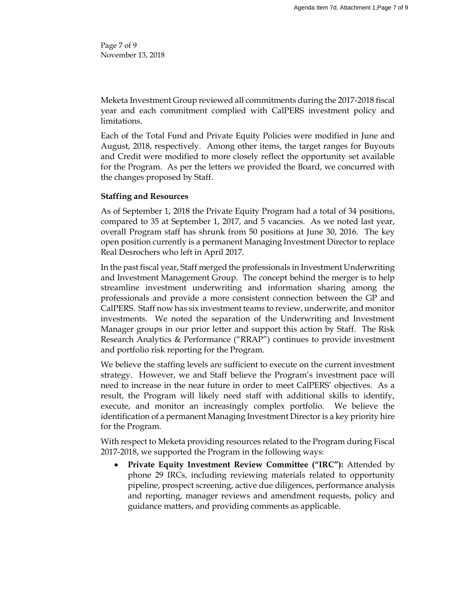Page 7 of 9 November 13, 2018

Meketa Investment Group reviewed all commitments during the 2017-2018 fiscal year and each commitment complied with CalPERS investment policy and limitations.

Each of the Total Fund and Private Equity Policies were modified in June and August, 2018, respectively. Among other items, the target ranges for Buyouts and Credit were modified to more closely reflect the opportunity set available for the Program. As per the letters we provided the Board, we concurred with the changes proposed by Staff.

# **Staffing and Resources**

As of September 1, 2018 the Private Equity Program had a total of 34 positions, compared to 35 at September 1, 2017, and 5 vacancies. As we noted last year, overall Program staff has shrunk from 50 positions at June 30, 2016. The key open position currently is a permanent Managing Investment Director to replace Real Desrochers who left in April 2017.

In the past fiscal year, Staff merged the professionals in Investment Underwriting and Investment Management Group. The concept behind the merger is to help streamline investment underwriting and information sharing among the professionals and provide a more consistent connection between the GP and CalPERS. Staff now has six investment teams to review, underwrite, and monitor investments. We noted the separation of the Underwriting and Investment Manager groups in our prior letter and support this action by Staff. The Risk Research Analytics & Performance ("RRAP") continues to provide investment and portfolio risk reporting for the Program.

We believe the staffing levels are sufficient to execute on the current investment strategy. However, we and Staff believe the Program's investment pace will need to increase in the near future in order to meet CalPERS' objectives. As a result, the Program will likely need staff with additional skills to identify, execute, and monitor an increasingly complex portfolio. We believe the identification of a permanent Managing Investment Director is a key priority hire for the Program.

With respect to Meketa providing resources related to the Program during Fiscal 2017-2018, we supported the Program in the following ways:

 **Private Equity Investment Review Committee ("IRC"):** Attended by phone 29 IRCs, including reviewing materials related to opportunity pipeline, prospect screening, active due diligences, performance analysis and reporting, manager reviews and amendment requests, policy and guidance matters, and providing comments as applicable.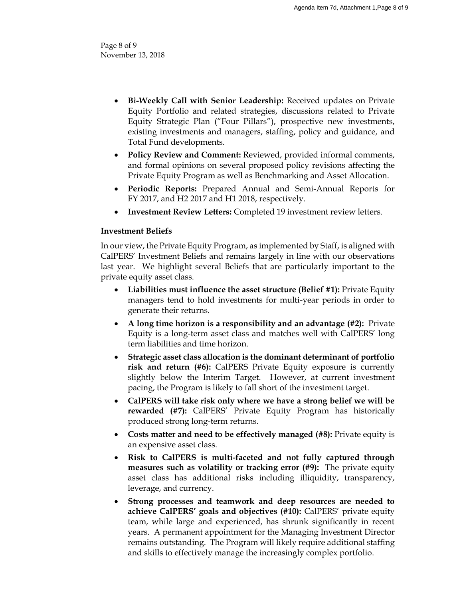Page 8 of 9 November 13, 2018

- **Bi-Weekly Call with Senior Leadership:** Received updates on Private Equity Portfolio and related strategies, discussions related to Private Equity Strategic Plan ("Four Pillars"), prospective new investments, existing investments and managers, staffing, policy and guidance, and Total Fund developments.
- **Policy Review and Comment:** Reviewed, provided informal comments, and formal opinions on several proposed policy revisions affecting the Private Equity Program as well as Benchmarking and Asset Allocation.
- **Periodic Reports:** Prepared Annual and Semi-Annual Reports for FY 2017, and H2 2017 and H1 2018, respectively.
- **Investment Review Letters:** Completed 19 investment review letters.

# **Investment Beliefs**

In our view, the Private Equity Program, as implemented by Staff, is aligned with CalPERS' Investment Beliefs and remains largely in line with our observations last year. We highlight several Beliefs that are particularly important to the private equity asset class.

- **Liabilities must influence the asset structure (Belief #1):** Private Equity managers tend to hold investments for multi-year periods in order to generate their returns.
- **A long time horizon is a responsibility and an advantage (#2):** Private Equity is a long-term asset class and matches well with CalPERS' long term liabilities and time horizon.
- **Strategic asset class allocation is the dominant determinant of portfolio risk and return (#6):** CalPERS Private Equity exposure is currently slightly below the Interim Target. However, at current investment pacing, the Program is likely to fall short of the investment target.
- **CalPERS will take risk only where we have a strong belief we will be rewarded (#7):** CalPERS' Private Equity Program has historically produced strong long-term returns.
- **Costs matter and need to be effectively managed (#8):** Private equity is an expensive asset class.
- **Risk to CalPERS is multi-faceted and not fully captured through measures such as volatility or tracking error (#9):** The private equity asset class has additional risks including illiquidity, transparency, leverage, and currency.
- **Strong processes and teamwork and deep resources are needed to achieve CalPERS' goals and objectives (#10):** CalPERS' private equity team, while large and experienced, has shrunk significantly in recent years. A permanent appointment for the Managing Investment Director remains outstanding. The Program will likely require additional staffing and skills to effectively manage the increasingly complex portfolio.